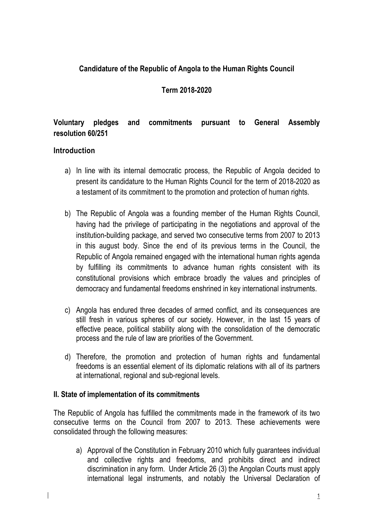## **Candidature of the Republic of Angola to the Human Rights Council**

#### **Term 2018-2020**

# **Voluntary pledges and commitments pursuant to General Assembly resolution 60/251**

#### **Introduction**

 $\overline{\phantom{a}}$ 

- a) In line with its internal democratic process, the Republic of Angola decided to present its candidature to the Human Rights Council for the term of 2018-2020 as a testament of its commitment to the promotion and protection of human rights.
- b) The Republic of Angola was a founding member of the Human Rights Council, having had the privilege of participating in the negotiations and approval of the institution-building package, and served two consecutive terms from 2007 to 2013 in this august body. Since the end of its previous terms in the Council, the Republic of Angola remained engaged with the international human rights agenda by fulfilling its commitments to advance human rights consistent with its constitutional provisions which embrace broadly the values and principles of democracy and fundamental freedoms enshrined in key international instruments.
- c) Angola has endured three decades of armed conflict, and its consequences are still fresh in various spheres of our society. However, in the last 15 years of effective peace, political stability along with the consolidation of the democratic process and the rule of law are priorities of the Government.
- d) Therefore, the promotion and protection of human rights and fundamental freedoms is an essential element of its diplomatic relations with all of its partners at international, regional and sub-regional levels.

#### **II. State of implementation of its commitments**

The Republic of Angola has fulfilled the commitments made in the framework of its two consecutive terms on the Council from 2007 to 2013. These achievements were consolidated through the following measures:

a) Approval of the Constitution in February 2010 which fully guarantees individual and collective rights and freedoms, and prohibits direct and indirect discrimination in any form. Under Article 26 (3) the Angolan Courts must apply international legal instruments, and notably the Universal Declaration of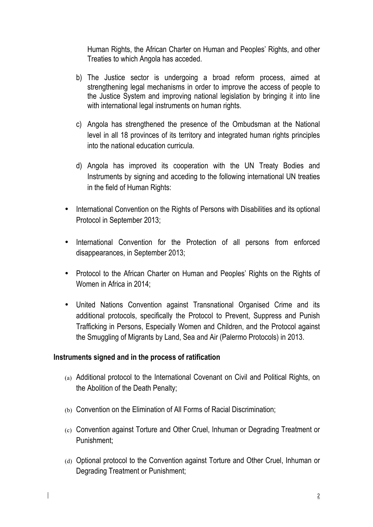Human Rights, the African Charter on Human and Peoples' Rights, and other Treaties to which Angola has acceded.

- b) The Justice sector is undergoing a broad reform process, aimed at strengthening legal mechanisms in order to improve the access of people to the Justice System and improving national legislation by bringing it into line with international legal instruments on human rights.
- c) Angola has strengthened the presence of the Ombudsman at the National level in all 18 provinces of its territory and integrated human rights principles into the national education curricula.
- d) Angola has improved its cooperation with the UN Treaty Bodies and Instruments by signing and acceding to the following international UN treaties in the field of Human Rights:
- International Convention on the Rights of Persons with Disabilities and its optional Protocol in September 2013;
- International Convention for the Protection of all persons from enforced disappearances, in September 2013;
- Protocol to the African Charter on Human and Peoples' Rights on the Rights of Women in Africa in 2014;
- United Nations Convention against Transnational Organised Crime and its additional protocols, specifically the Protocol to Prevent, Suppress and Punish Trafficking in Persons, Especially Women and Children, and the Protocol against the Smuggling of Migrants by Land, Sea and Air (Palermo Protocols) in 2013.

#### **Instruments signed and in the process of ratification**

 $\overline{\phantom{a}}$ 

- (a) Additional protocol to the International Covenant on Civil and Political Rights, on the Abolition of the Death Penalty;
- (b) Convention on the Elimination of All Forms of Racial Discrimination;
- (c) Convention against Torture and Other Cruel, Inhuman or Degrading Treatment or Punishment;
- (d) Optional protocol to the Convention against Torture and Other Cruel, Inhuman or Degrading Treatment or Punishment;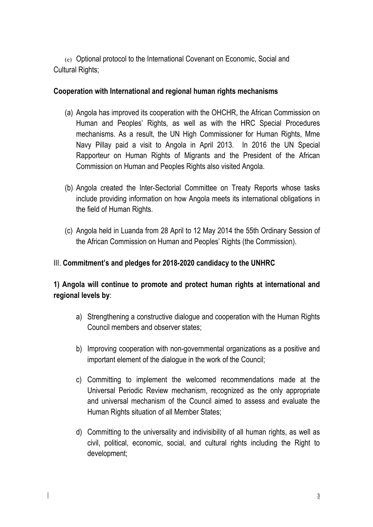(e) Optional protocol to the International Covenant on Economic, Social and Cultural Rights;

#### **Cooperation with International and regional human rights mechanisms**

- (a) Angola has improved its cooperation with the OHCHR, the African Commission on Human and Peoples' Rights, as well as with the HRC Special Procedures mechanisms. As a result, the UN High Commissioner for Human Rights, Mme Navy Pillay paid a visit to Angola in April 2013. In 2016 the UN Special Rapporteur on Human Rights of Migrants and the President of the African Commission on Human and Peoples Rights also visited Angola.
- (b) Angola created the Inter-Sectorial Committee on Treaty Reports whose tasks include providing information on how Angola meets its international obligations in the field of Human Rights.
- (c) Angola held in Luanda from 28 April to 12 May 2014 the 55th Ordinary Session of the African Commission on Human and Peoples' Rights (the Commission).

### III. **Commitment's and pledges for 2018-2020 candidacy to the UNHRC**

**1) Angola will continue to promote and protect human rights at international and regional levels by**:

- a) Strengthening a constructive dialogue and cooperation with the Human Rights Council members and observer states;
- b) Improving cooperation with non-governmental organizations as a positive and important element of the dialogue in the work of the Council;
- c) Committing to implement the welcomed recommendations made at the Universal Periodic Review mechanism, recognized as the only appropriate and universal mechanism of the Council aimed to assess and evaluate the Human Rights situation of all Member States;
- d) Committing to the universality and indivisibility of all human rights, as well as civil, political, economic, social, and cultural rights including the Right to development;

 $\overline{\phantom{a}}$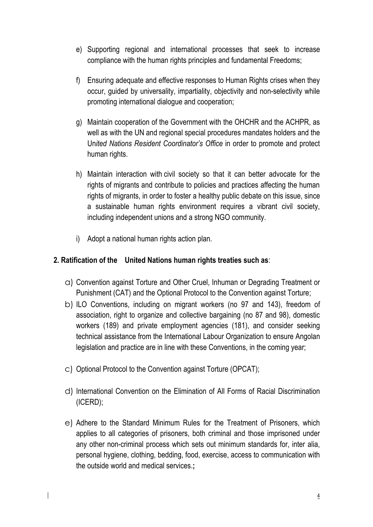- e) Supporting regional and international processes that seek to increase compliance with the human rights principles and fundamental Freedoms;
- f) Ensuring adequate and effective responses to Human Rights crises when they occur, guided by universality, impartiality, objectivity and non-selectivity while promoting international dialogue and cooperation;
- g) Maintain cooperation of the Government with the OHCHR and the ACHPR, as well as with the UN and regional special procedures mandates holders and the Un*ited Nations Resident Coordinator's Office* in order to promote and protect human rights.
- h) Maintain interaction with civil society so that it can better advocate for the rights of migrants and contribute to policies and practices affecting the human rights of migrants, in order to foster a healthy public debate on this issue, since a sustainable human rights environment requires a vibrant civil society, including independent unions and a strong NGO community.
- i) Adopt a national human rights action plan.

## **2. Ratification of the United Nations human rights treaties such as**:

- a) Convention against Torture and Other Cruel, Inhuman or Degrading Treatment or Punishment (CAT) and the Optional Protocol to the Convention against Torture;
- b) ILO Conventions, including on migrant workers (no 97 and 143), freedom of association, right to organize and collective bargaining (no 87 and 98), domestic workers (189) and private employment agencies (181), and consider seeking technical assistance from the International Labour Organization to ensure Angolan legislation and practice are in line with these Conventions, in the coming year;
- c) Optional Protocol to the Convention against Torture (OPCAT);

 $\overline{\phantom{a}}$ 

- d) International Convention on the Elimination of All Forms of Racial Discrimination (ICERD);
- e) Adhere to the Standard Minimum Rules for the Treatment of Prisoners, which applies to all categories of prisoners, both criminal and those imprisoned under any other non-criminal process which sets out minimum standards for, inter alia, personal hygiene, clothing, bedding, food, exercise, access to communication with the outside world and medical services.**;**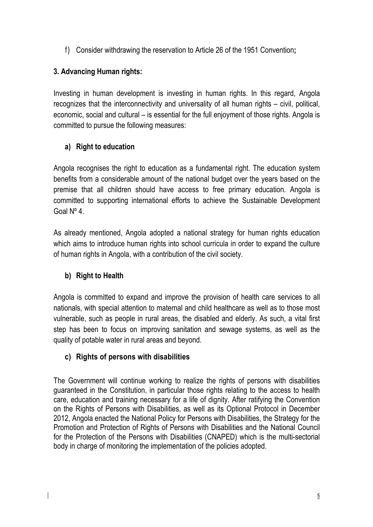f) Consider withdrawing the reservation to Article 26 of the 1951 Convention**;**

# **3. Advancing Human rights:**

Investing in human development is investing in human rights. In this regard, Angola recognizes that the interconnectivity and universality of all human rights – civil, political, economic, social and cultural – is essential for the full enjoyment of those rights. Angola is committed to pursue the following measures:

## **a) Right to education**

Angola recognises the right to education as a fundamental right. The education system benefits from a considerable amount of the national budget over the years based on the premise that all children should have access to free primary education. Angola is committed to supporting international efforts to achieve the Sustainable Development Goal Nº 4.

As already mentioned, Angola adopted a national strategy for human rights education which aims to introduce human rights into school curricula in order to expand the culture of human rights in Angola, with a contribution of the civil society.

# **b) Right to Health**

 $\overline{\phantom{a}}$ 

Angola is committed to expand and improve the provision of health care services to all nationals, with special attention to maternal and child healthcare as well as to those most vulnerable, such as people in rural areas, the disabled and elderly. As such, a vital first step has been to focus on improving sanitation and sewage systems, as well as the quality of potable water in rural areas and beyond.

# **c) Rights of persons with disabilities**

The Government will continue working to realize the rights of persons with disabilities guaranteed in the Constitution, in particular those rights relating to the access to health care, education and training necessary for a life of dignity. After ratifying the Convention on the Rights of Persons with Disabilities, as well as its Optional Protocol in December 2012, Angola enacted the National Policy for Persons with Disabilities, the Strategy for the Promotion and Protection of Rights of Persons with Disabilities and the National Council for the Protection of the Persons with Disabilities (CNAPED) which is the multi-sectorial body in charge of monitoring the implementation of the policies adopted.